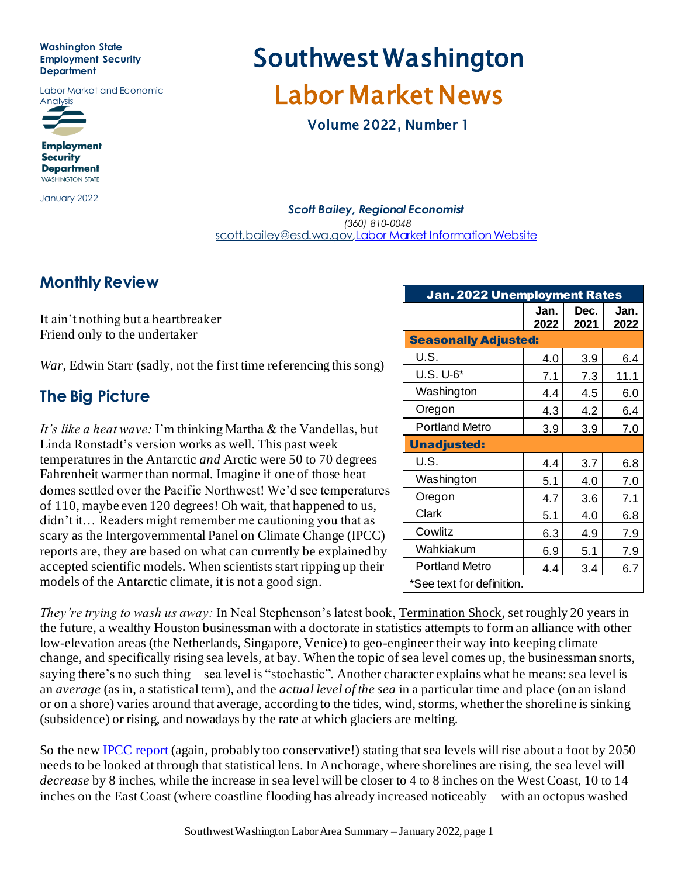#### **Washington State Employment Security Department**

Labor Market and Economic



**Employment Security Department WASHINGTON STATE** 

January 2022

# Southwest Washington Labor Market News

Volume 2022, Number 1

#### *Scott Bailey, Regional Economist (360) 810-0048* [scott.bailey@esd.wa.gov](mailto:Sdbailey@esd.wa.gov)*,*[Labor Market Information Website](https://esd.wa.gov/esd/employmentdata)

#### **Monthly Review**

It ain't nothing but a heartbreaker Friend only to the undertaker

*War*, Edwin Starr (sadly, not the first time referencing this song)

## **The Big Picture**

*It's like a heat wave:* I'm thinking Martha & the Vandellas, but Linda Ronstadt's version works as well. This past week temperatures in the Antarctic *and* Arctic were 50 to 70 degrees Fahrenheit warmer than normal. Imagine if one of those heat domes settled over the Pacific Northwest! We'd see temperatures of 110, maybe even 120 degrees! Oh wait, that happened to us, didn't it… Readers might remember me cautioning you that as scary as the Intergovernmental Panel on Climate Change (IPCC) reports are, they are based on what can currently be explained by accepted scientific models. When scientists start ripping up their models of the Antarctic climate, it is not a good sign.

| <b>Jan. 2022 Unemployment Rates</b> |              |              |              |  |  |
|-------------------------------------|--------------|--------------|--------------|--|--|
|                                     | Jan.<br>2022 | Dec.<br>2021 | Jan.<br>2022 |  |  |
| <b>Seasonally Adjusted:</b>         |              |              |              |  |  |
| U.S.                                | 4.0          | 3.9          | 6.4          |  |  |
| U.S. U-6*                           | 7.1          | 7.3          | 11.1         |  |  |
| Washington                          | 4.4          | 4.5          | 6.0          |  |  |
| Oregon                              | 4.3          | 4.2          | 6.4          |  |  |
| <b>Portland Metro</b>               | 3.9          | 3.9          | 7.0          |  |  |
| <b>Unadjusted:</b>                  |              |              |              |  |  |
| U.S.                                | 4.4          | 3.7          | 6.8          |  |  |
| Washington                          | 5.1          | 4.0          | 7.0          |  |  |
| Oregon                              | 4.7          | 3.6          | 7.1          |  |  |
| Clark                               | 5.1          | 4.0          | 6.8          |  |  |
| Cowlitz                             | 6.3          | 4.9          | 7.9          |  |  |
| Wahkiakum                           | 6.9          | 5.1          | 7.9          |  |  |
| Portland Metro                      | 4.4          | 3.4          | 6.7          |  |  |
| *See text for definition.           |              |              |              |  |  |

*They're trying to wash us away:* In Neal Stephenson's latest book, Termination Shock, set roughly 20 years in the future, a wealthy Houston businessman with a doctorate in statistics attempts to form an alliance with other low-elevation areas (the Netherlands, Singapore, Venice) to geo-engineer their way into keeping climate change, and specifically rising sea levels, at bay. When the topic of sea level comes up, the businessman snorts, saying there's no such thing—sea level is "stochastic". Another character explains what he means: sea level is an *average* (as in, a statistical term), and the *actual level of the sea* in a particular time and place (on an island or on a shore) varies around that average, according to the tides, wind, storms, whether the shoreline is sinking (subsidence) or rising, and nowadays by the rate at which glaciers are melting.

So the ne[w IPCC report](https://www.ipcc.ch/srocc/chapter/chapter-4-sea-level-rise-and-implications-for-low-lying-islands-coasts-and-communities/) (again, probably too conservative!) stating that sea levels will rise about a foot by 2050 needs to be looked at through that statistical lens. In Anchorage, where shorelines are rising, the sea level will *decrease* by 8 inches, while the increase in sea level will be closer to 4 to 8 inches on the West Coast, 10 to 14 inches on the East Coast (where coastline flooding has already increased noticeably—with an octopus washed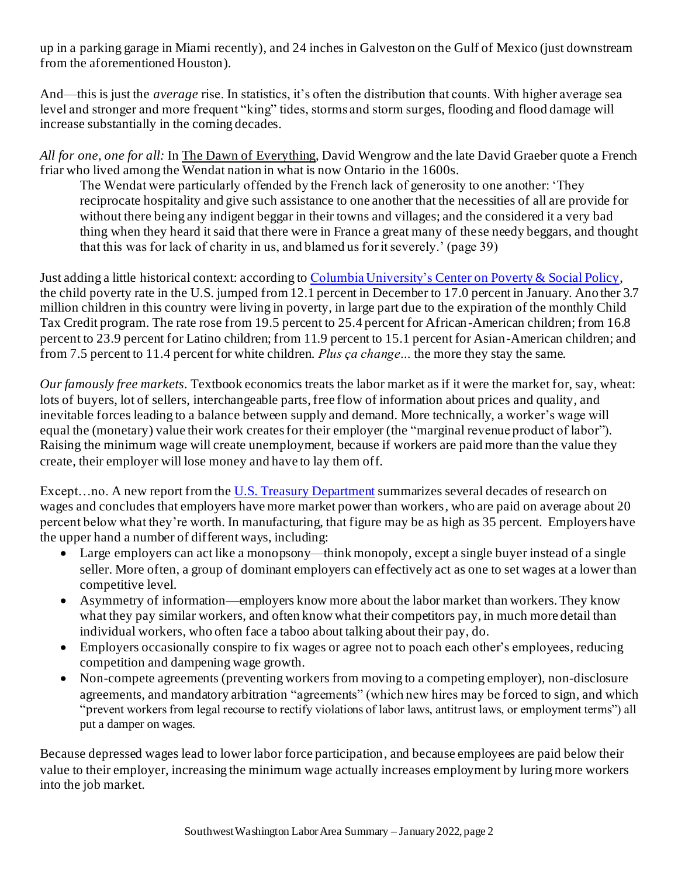up in a parking garage in Miami recently), and 24 inches in Galveston on the Gulf of Mexico (just downstream from the aforementioned Houston).

And—this is just the *average* rise. In statistics, it's often the distribution that counts. With higher average sea level and stronger and more frequent "king" tides, storms and storm surges, flooding and flood damage will increase substantially in the coming decades.

*All for one, one for all:* In The Dawn of Everything, David Wengrow and the late David Graeber quote a French friar who lived among the Wendat nation in what is now Ontario in the 1600s.

The Wendat were particularly offended by the French lack of generosity to one another: 'They reciprocate hospitality and give such assistance to one another that the necessities of all are provide for without there being any indigent beggar in their towns and villages; and the considered it a very bad thing when they heard it said that there were in France a great many of these needy beggars, and thought that this was for lack of charity in us, and blamed us for it severely.' (page 39)

Just adding a little historical context: according t[o Columbia University's Center on Poverty & Social Policy,](https://www.povertycenter.columbia.edu/news-internal/monthly-poverty-january-2022) the child poverty rate in the U.S. jumped from 12.1 percent in December to 17.0 percent in January. Ano ther 3.7 million children in this country were living in poverty, in large part due to the expiration of the monthly Child Tax Credit program. The rate rose from 19.5 percent to 25.4 percent for African-American children; from 16.8 percent to 23.9 percent for Latino children; from 11.9 percent to 15.1 percent for Asian-American children; and from 7.5 percent to 11.4 percent for white children. *Plus ça change…* the more they stay the same.

*Our famously free markets.* Textbook economics treats the labor market as if it were the market for, say, wheat: lots of buyers, lot of sellers, interchangeable parts, free flow of information about prices and quality, and inevitable forces leading to a balance between supply and demand. More technically, a worker's wage will equal the (monetary) value their work creates for their employer (the "marginal revenue product of labor"). Raising the minimum wage will create unemployment, because if workers are paid more than the value they create, their employer will lose money and have to lay them off.

Except...no. A new report from th[e U.S. Treasury Department](https://home.treasury.gov/system/files/136/State-of-Labor-Market-Competition-2022.pdf) summarizes several decades of research on wages and concludes that employers have more market power than workers, who are paid on average about 20 percent below what they're worth. In manufacturing, that figure may be as high as 35 percent. Employers have the upper hand a number of different ways, including:

- Large employers can act like a monopsony—think monopoly, except a single buyer instead of a single seller. More often, a group of dominant employers can effectively act as one to set wages at a lower than competitive level.
- Asymmetry of information—employers know more about the labor market than workers. They know what they pay similar workers, and often know what their competitors pay, in much more detail than individual workers, who often face a taboo about talking about their pay, do.
- Employers occasionally conspire to fix wages or agree not to poach each other's employees, reducing competition and dampening wage growth.
- Non-compete agreements (preventing workers from moving to a competing employer), non-disclosure agreements, and mandatory arbitration "agreements" (which new hires may be forced to sign, and which "prevent workers from legal recourse to rectify violations of labor laws, antitrust laws, or employment terms") all put a damper on wages.

Because depressed wages lead to lower labor force participation, and because employees are paid below their value to their employer, increasing the minimum wage actually increases employment by luring more workers into the job market.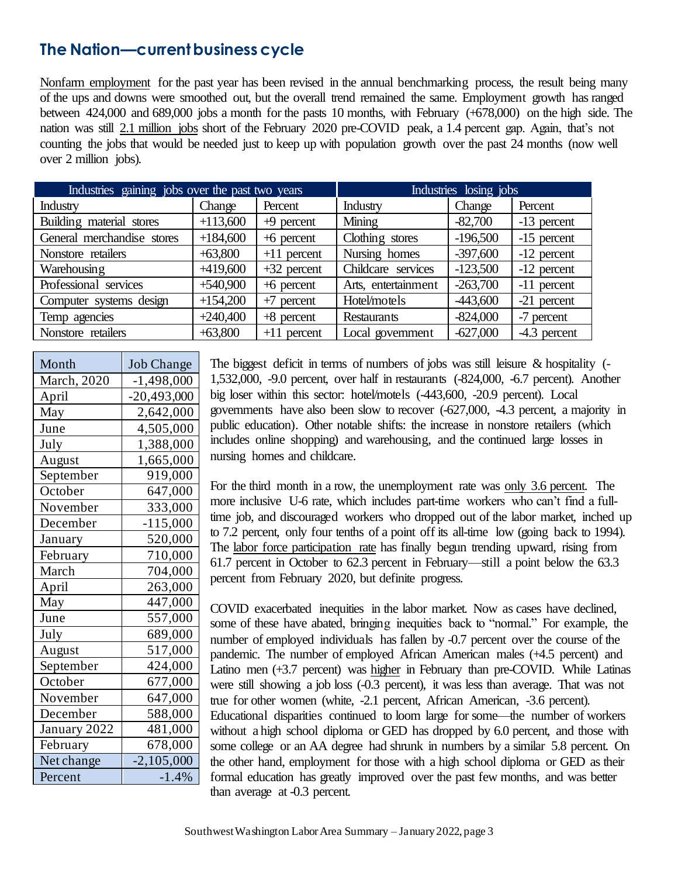#### **The Nation—current business cycle**

Nonfarm employment for the past year has been revised in the annual benchmarking process, the result being many of the ups and downs were smoothed out, but the overall trend remained the same. Employment growth has ranged between 424,000 and 689,000 jobs a month for the pasts 10 months, with February (+678,000) on the high side. The nation was still 2.1 million jobs short of the February 2020 pre-COVID peak, a 1.4 percent gap. Again, that's not counting the jobs that would be needed just to keep up with population growth over the past 24 months (now well over 2 million jobs).

| Industries gaining jobs over the past two years |            | Industries losing jobs |                     |            |               |
|-------------------------------------------------|------------|------------------------|---------------------|------------|---------------|
| Industry                                        | Change     | Percent                | <b>Industry</b>     | Change     | Percent       |
| Building material stores                        | $+113,600$ | $+9$ percent           | Mining              | $-82,700$  | -13 percent   |
| General merchandise stores                      | $+184,600$ | $+6$ percent           | Clothing stores     | $-196,500$ | -15 percent   |
| Nonstore retailers                              | $+63,800$  | $+11$ percent          | Nursing homes       | $-397,600$ | $-12$ percent |
| Warehousing                                     | $+419,600$ | $+32$ percent          | Childcare services  | $-123,500$ | $-12$ percent |
| Professional services                           | $+540,900$ | $+6$ percent           | Arts, entertainment | $-263,700$ | -11 percent   |
| Computer systems design                         | $+154,200$ | $+7$ percent           | Hotel/motels        | -443,600   | -21 percent   |
| Temp agencies                                   | $+240,400$ | $+8$ percent           | Restaurants         | $-824,000$ | -7 percent    |
| Nonstore retailers                              | $+63,800$  | $+11$ percent          | Local government    | $-627,000$ | -4.3 percent  |

| Month        | <b>Job Change</b> |
|--------------|-------------------|
| March, 2020  | $-1,498,000$      |
| April        | $-20,493,000$     |
| May          | 2,642,000         |
| June         | 4,505,000         |
| July         | 1,388,000         |
| August       | 1,665,000         |
| September    | 919,000           |
| October      | 647,000           |
| November     | 333,000           |
| December     | $-115,000$        |
| January      | 520,000           |
| February     | 710,000           |
| March        | 704,000           |
| April        | 263,000           |
| May          | 447,000           |
| June         | 557,000           |
| July         | 689,000           |
| August       | 517,000           |
| September    | 424,000           |
| October      | 677,000           |
| November     | 647,000           |
| December     | 588,000           |
| January 2022 | 481,000           |
| February     | 678,000           |
| Net change   | $-2,105,000$      |
| Percent      | $-1.4%$           |

The biggest deficit in terms of numbers of jobs was still leisure & hospitality (- 1,532,000, -9.0 percent, over half in restaurants (-824,000, -6.7 percent). Another big loser within this sector: hotel/motels (-443,600, -20.9 percent). Local governments have also been slow to recover  $(-627,000, -4.3)$  percent, a majority in public education). Other notable shifts: the increase in nonstore retailers (which includes online shopping) and warehousing, and the continued large losses in nursing homes and childcare.

For the third month in a row, the unemployment rate was only 3.6 percent. The more inclusive U-6 rate, which includes part-time workers who can't find a fulltime job, and discouraged workers who dropped out of the labor market, inched up to 7.2 percent, only four tenths of a point off its all-time low (going back to 1994). The labor force participation rate has finally begun trending upward, rising from 61.7 percent in October to 62.3 percent in February—still a point below the 63.3 percent from February 2020, but definite progress.

COVID exacerbated inequities in the labor market. Now as cases have declined, some of these have abated, bringing inequities back to "normal." For example, the number of employed individuals has fallen by -0.7 percent over the course of the pandemic. The number of employed African American males (+4.5 percent) and Latino men (+3.7 percent) was higher in February than pre-COVID. While Latinas were still showing a job loss (-0.3 percent), it was less than average. That was not true for other women (white, -2.1 percent, African American, -3.6 percent). Educational disparities continued to loom large for some—the number of workers without a high school diploma or GED has dropped by 6.0 percent, and those with some college or an AA degree had shrunk in numbers by a similar 5.8 percent. On the other hand, employment for those with a high school diploma or GED as their formal education has greatly improved over the past few months, and was better than average at -0.3 percent.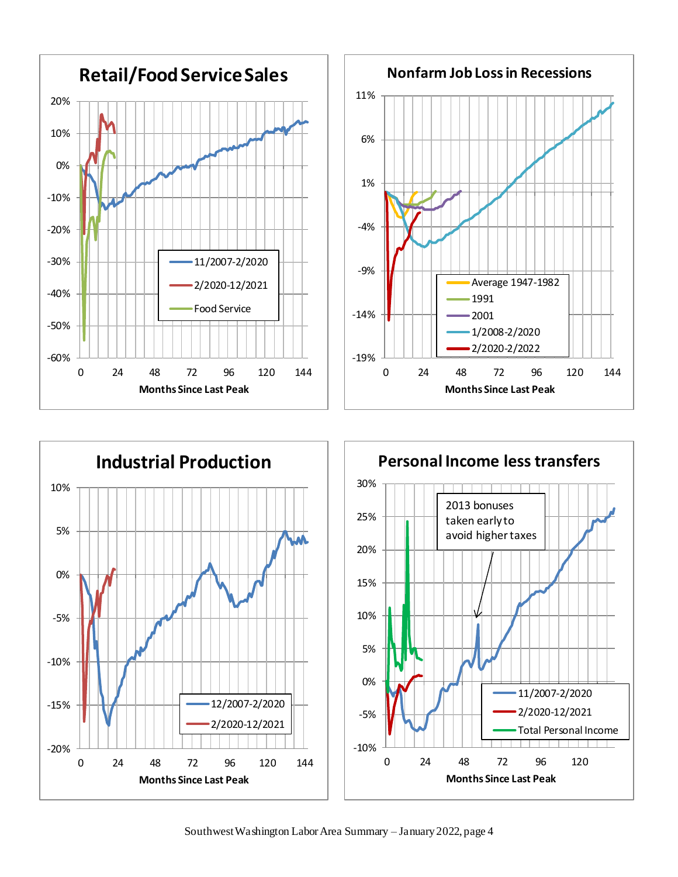





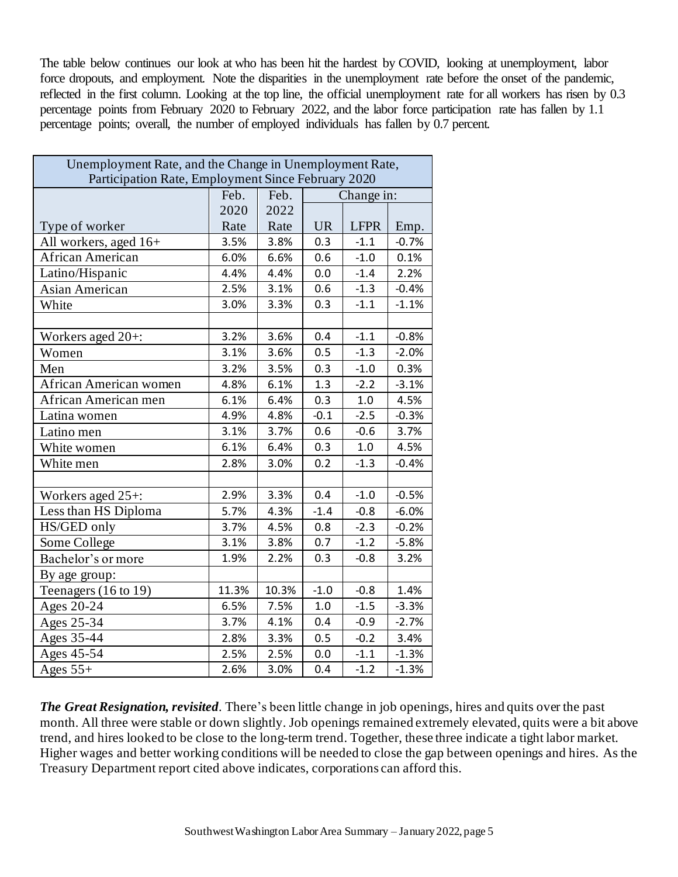The table below continues our look at who has been hit the hardest by COVID, looking at unemployment, labor force dropouts, and employment. Note the disparities in the unemployment rate before the onset of the pandemic, reflected in the first column. Looking at the top line, the official unemployment rate for all workers has risen by 0.3 percentage points from February 2020 to February 2022, and the labor force participation rate has fallen by 1.1 percentage points; overall, the number of employed individuals has fallen by 0.7 percent.

| Unemployment Rate, and the Change in Unemployment Rate,<br>Participation Rate, Employment Since February 2020 |       |       |            |             |         |
|---------------------------------------------------------------------------------------------------------------|-------|-------|------------|-------------|---------|
|                                                                                                               | Feb.  | Feb.  | Change in: |             |         |
|                                                                                                               | 2020  | 2022  |            |             |         |
| Type of worker                                                                                                | Rate  | Rate  | <b>UR</b>  | <b>LFPR</b> | Emp.    |
| All workers, aged 16+                                                                                         | 3.5%  | 3.8%  | 0.3        | $-1.1$      | $-0.7%$ |
| African American                                                                                              | 6.0%  | 6.6%  | 0.6        | $-1.0$      | 0.1%    |
| Latino/Hispanic                                                                                               | 4.4%  | 4.4%  | 0.0        | $-1.4$      | 2.2%    |
| Asian American                                                                                                | 2.5%  | 3.1%  | 0.6        | $-1.3$      | $-0.4%$ |
| White                                                                                                         | 3.0%  | 3.3%  | 0.3        | $-1.1$      | $-1.1%$ |
|                                                                                                               |       |       |            |             |         |
| Workers aged 20+:                                                                                             | 3.2%  | 3.6%  | 0.4        | $-1.1$      | $-0.8%$ |
| Women                                                                                                         | 3.1%  | 3.6%  | 0.5        | $-1.3$      | $-2.0%$ |
| Men                                                                                                           | 3.2%  | 3.5%  | 0.3        | $-1.0$      | 0.3%    |
| African American women                                                                                        | 4.8%  | 6.1%  | 1.3        | $-2.2$      | $-3.1%$ |
| African American men                                                                                          | 6.1%  | 6.4%  | 0.3        | 1.0         | 4.5%    |
| Latina women                                                                                                  | 4.9%  | 4.8%  | $-0.1$     | $-2.5$      | $-0.3%$ |
| Latino men                                                                                                    | 3.1%  | 3.7%  | 0.6        | $-0.6$      | 3.7%    |
| White women                                                                                                   | 6.1%  | 6.4%  | 0.3        | 1.0         | 4.5%    |
| White men                                                                                                     | 2.8%  | 3.0%  | 0.2        | $-1.3$      | $-0.4%$ |
|                                                                                                               |       |       |            |             |         |
| Workers aged 25+:                                                                                             | 2.9%  | 3.3%  | 0.4        | $-1.0$      | $-0.5%$ |
| Less than HS Diploma                                                                                          | 5.7%  | 4.3%  | $-1.4$     | $-0.8$      | $-6.0%$ |
| HS/GED only                                                                                                   | 3.7%  | 4.5%  | 0.8        | $-2.3$      | $-0.2%$ |
| Some College                                                                                                  | 3.1%  | 3.8%  | 0.7        | $-1.2$      | $-5.8%$ |
| Bachelor's or more                                                                                            | 1.9%  | 2.2%  | 0.3        | $-0.8$      | 3.2%    |
| By age group:                                                                                                 |       |       |            |             |         |
| Teenagers $(16 \text{ to } 19)$                                                                               | 11.3% | 10.3% | $-1.0$     | $-0.8$      | 1.4%    |
| Ages 20-24                                                                                                    | 6.5%  | 7.5%  | 1.0        | $-1.5$      | $-3.3%$ |
| Ages 25-34                                                                                                    | 3.7%  | 4.1%  | 0.4        | $-0.9$      | $-2.7%$ |
| Ages 35-44                                                                                                    | 2.8%  | 3.3%  | 0.5        | $-0.2$      | 3.4%    |
| Ages 45-54                                                                                                    | 2.5%  | 2.5%  | 0.0        | $-1.1$      | $-1.3%$ |
| Ages $55+$                                                                                                    | 2.6%  | 3.0%  | 0.4        | $-1.2$      | $-1.3%$ |

*The Great Resignation, revisited.* There's been little change in job openings, hires and quits over the past month. All three were stable or down slightly. Job openings remained extremely elevated, quits were a bit above trend, and hires looked to be close to the long-term trend. Together, these three indicate a tight labor market. Higher wages and better working conditions will be needed to close the gap between openings and hires. As the Treasury Department report cited above indicates, corporations can afford this.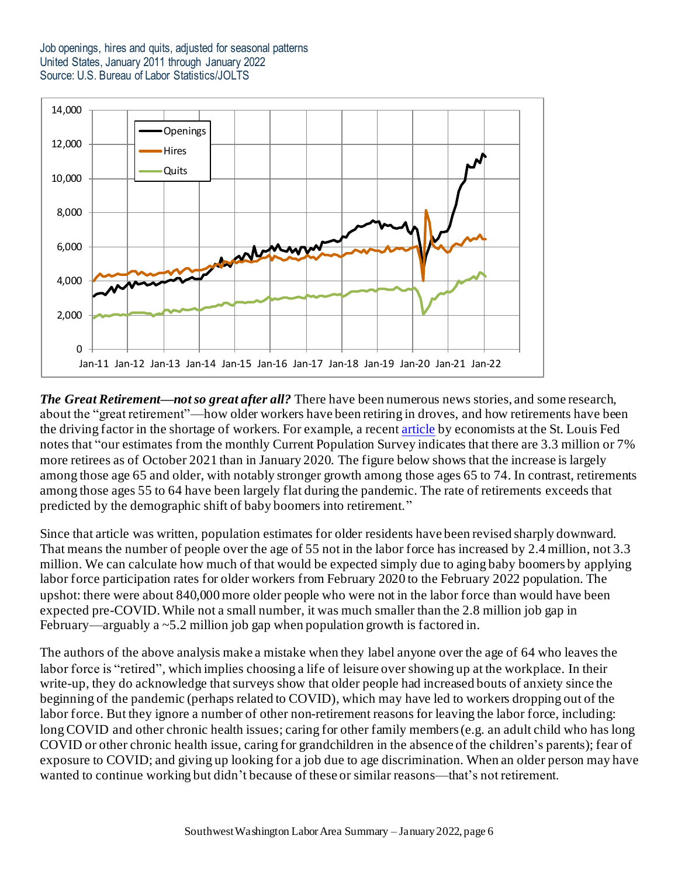Job openings, hires and quits, adjusted for seasonal patterns United States, January 2011 through January 2022 Source: U.S. Bureau of Labor Statistics/JOLTS



*The Great Retirement—not so great after all?* There have been numerous news stories, and some research, about the "great retirement"—how older workers have been retiring in droves, and how retirements have been the driving factor in the shortage of workers. For example, a recen[t article](https://www.stlouisfed.org/on-the-economy/2022/january/great-retirement-who-are-retirees) by economists at the St. Louis Fed notes that "our estimates from the monthly Current Population Survey indicates that there are 3.3 million or 7% more retirees as of October 2021 than in January 2020. The figure below shows that the increase is largely among those age 65 and older, with notably stronger growth among those ages 65 to 74. In contrast, retirements among those ages 55 to 64 have been largely flat during the pandemic. The rate of retirements exceeds that predicted by the demographic shift of baby boomers into retirement."

Since that article was written, population estimates for older residents have been revised sharply downward. That means the number of people over the age of 55 not in the labor force has increased by 2.4 million, not 3.3 million. We can calculate how much of that would be expected simply due to aging baby boomers by applying labor force participation rates for older workers from February 2020 to the February 2022 population. The upshot: there were about 840,000 more older people who were not in the labor force than would have been expected pre-COVID. While not a small number, it was much smaller than the 2.8 million job gap in February—arguably a ~5.2 million job gap when population growth is factored in.

The authors of the above analysis make a mistake when they label anyone over the age of 64 who leaves the labor force is "retired", which implies choosing a life of leisure over showing up at the workplace. In their write-up, they do acknowledge that surveys show that older people had increased bouts of anxiety since the beginning of the pandemic (perhaps related to COVID), which may have led to workers dropping out of the labor force. But they ignore a number of other non-retirement reasons for leaving the labor force, including: long COVID and other chronic health issues; caring for other family members (e.g. an adult child who has long COVID or other chronic health issue, caring for grandchildren in the absence of the children's parents); fear of exposure to COVID; and giving up looking for a job due to age discrimination. When an older person may have wanted to continue working but didn't because of these or similar reasons—that's not retirement.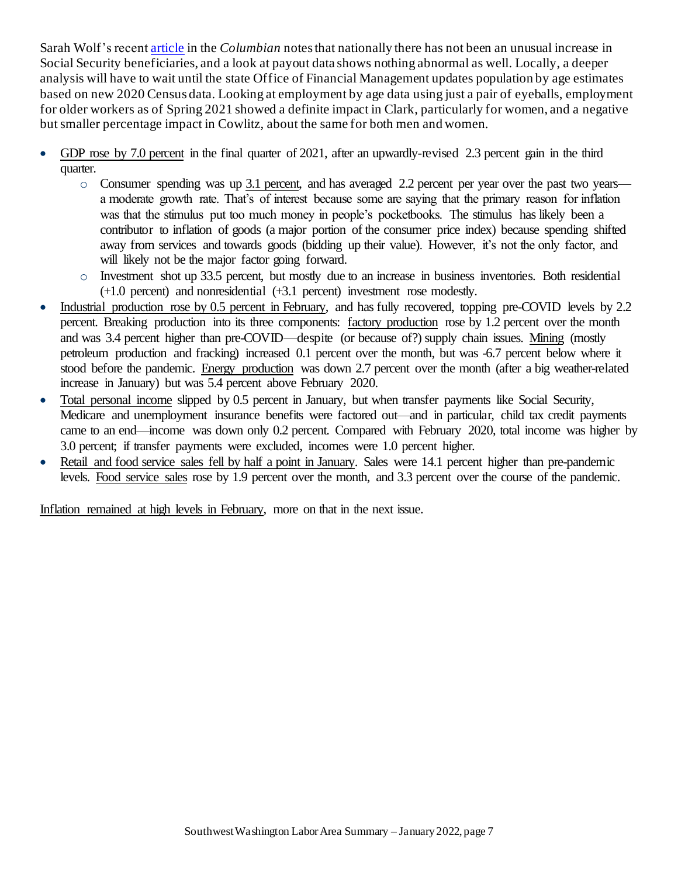Sarah Wolf's recen[t article](https://www.columbian.com/news/2022/mar/20/did-the-great-resignation-hide-a-great-retirement-in-clark-county/) in the *Columbian* notes that nationally there has not been an unusual increase in Social Security beneficiaries, and a look at payout data shows nothing abnormal as well. Locally, a deeper analysis will have to wait until the state Office of Financial Management updates population by age estimates based on new 2020 Census data. Looking at employment by age data using just a pair of eyeballs, employment for older workers as of Spring 2021 showed a definite impact in Clark, particularly for women, and a negative but smaller percentage impact in Cowlitz, about the same for both men and women.

- GDP rose by 7.0 percent in the final quarter of 2021, after an upwardly-revised 2.3 percent gain in the third quarter.
	- o Consumer spending was up 3.1 percent, and has averaged 2.2 percent per year over the past two years a moderate growth rate. That's of interest because some are saying that the primary reason for inflation was that the stimulus put too much money in people's pocketbooks. The stimulus has likely been a contributor to inflation of goods (a major portion of the consumer price index) because spending shifted away from services and towards goods (bidding up their value). However, it's not the only factor, and will likely not be the major factor going forward.
	- o Investment shot up 33.5 percent, but mostly due to an increase in business inventories. Both residential (+1.0 percent) and nonresidential (+3.1 percent) investment rose modestly.
- Industrial production rose by 0.5 percent in February, and has fully recovered, topping pre-COVID levels by 2.2 percent. Breaking production into its three components: factory production rose by 1.2 percent over the month and was 3.4 percent higher than pre-COVID—despite (or because of?) supply chain issues. Mining (mostly petroleum production and fracking) increased 0.1 percent over the month, but was -6.7 percent below where it stood before the pandemic. Energy production was down 2.7 percent over the month (after a big weather-related increase in January) but was 5.4 percent above February 2020.
- Total personal income slipped by 0.5 percent in January, but when transfer payments like Social Security, Medicare and unemployment insurance benefits were factored out—and in particular, child tax credit payments came to an end—income was down only 0.2 percent. Compared with February 2020, total income was higher by 3.0 percent; if transfer payments were excluded, incomes were 1.0 percent higher.
- Retail and food service sales fell by half a point in January. Sales were 14.1 percent higher than pre-pandemic levels. Food service sales rose by 1.9 percent over the month, and 3.3 percent over the course of the pandemic.

Inflation remained at high levels in February, more on that in the next issue.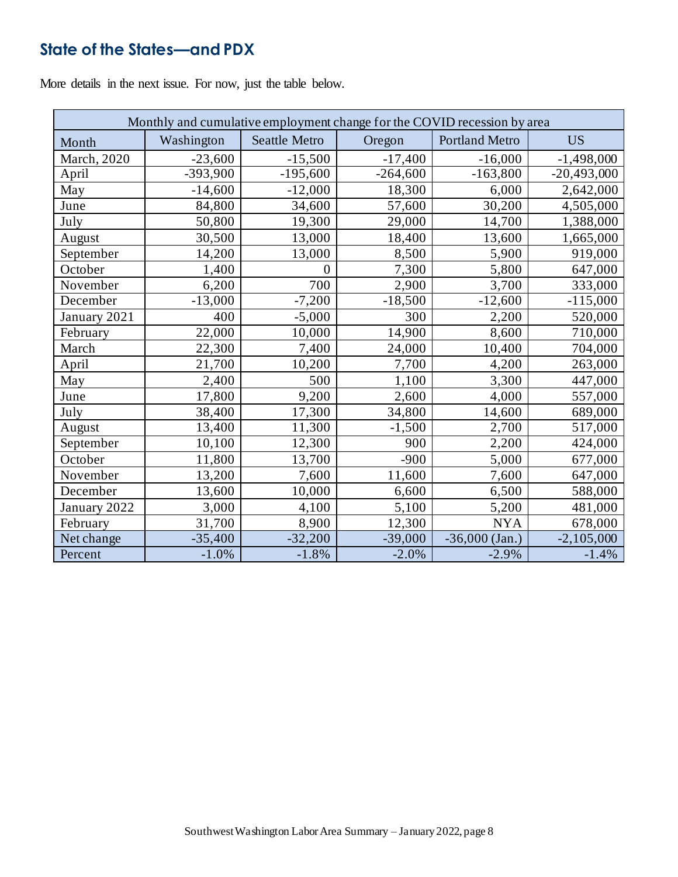# **State of the States—and PDX**

More details in the next issue. For now, just the table below.

| Monthly and cumulative employment change for the COVID recession by area |            |                      |            |                       |               |
|--------------------------------------------------------------------------|------------|----------------------|------------|-----------------------|---------------|
| Month                                                                    | Washington | <b>Seattle Metro</b> | Oregon     | <b>Portland Metro</b> | <b>US</b>     |
| March, 2020                                                              | $-23,600$  | $-15,500$            | $-17,400$  | $-16,000$             | $-1,498,000$  |
| April                                                                    | $-393,900$ | $-195,600$           | $-264,600$ | $-163,800$            | $-20,493,000$ |
| May                                                                      | $-14,600$  | $-12,000$            | 18,300     | 6,000                 | 2,642,000     |
| June                                                                     | 84,800     | 34,600               | 57,600     | 30,200                | 4,505,000     |
| July                                                                     | 50,800     | 19,300               | 29,000     | 14,700                | 1,388,000     |
| August                                                                   | 30,500     | 13,000               | 18,400     | 13,600                | 1,665,000     |
| September                                                                | 14,200     | 13,000               | 8,500      | 5,900                 | 919,000       |
| October                                                                  | 1,400      | $\boldsymbol{0}$     | 7,300      | 5,800                 | 647,000       |
| November                                                                 | 6,200      | 700                  | 2,900      | 3,700                 | 333,000       |
| December                                                                 | $-13,000$  | $-7,200$             | $-18,500$  | $-12,600$             | $-115,000$    |
| January 2021                                                             | 400        | $-5,000$             | 300        | 2,200                 | 520,000       |
| February                                                                 | 22,000     | 10,000               | 14,900     | 8,600                 | 710,000       |
| March                                                                    | 22,300     | 7,400                | 24,000     | 10,400                | 704,000       |
| April                                                                    | 21,700     | 10,200               | 7,700      | 4,200                 | 263,000       |
| May                                                                      | 2,400      | 500                  | 1,100      | 3,300                 | 447,000       |
| June                                                                     | 17,800     | 9,200                | 2,600      | 4,000                 | 557,000       |
| July                                                                     | 38,400     | 17,300               | 34,800     | 14,600                | 689,000       |
| August                                                                   | 13,400     | 11,300               | $-1,500$   | 2,700                 | 517,000       |
| September                                                                | 10,100     | 12,300               | 900        | 2,200                 | 424,000       |
| October                                                                  | 11,800     | 13,700               | $-900$     | 5,000                 | 677,000       |
| November                                                                 | 13,200     | 7,600                | 11,600     | 7,600                 | 647,000       |
| December                                                                 | 13,600     | 10,000               | 6,600      | 6,500                 | 588,000       |
| January 2022                                                             | 3,000      | 4,100                | 5,100      | 5,200                 | 481,000       |
| February                                                                 | 31,700     | 8,900                | 12,300     | <b>NYA</b>            | 678,000       |
| Net change                                                               | $-35,400$  | $-32,200$            | $-39,000$  | $-36,000$ (Jan.)      | $-2,105,000$  |
| Percent                                                                  | $-1.0%$    | $-1.8%$              | $-2.0%$    | $-2.9%$               | $-1.4%$       |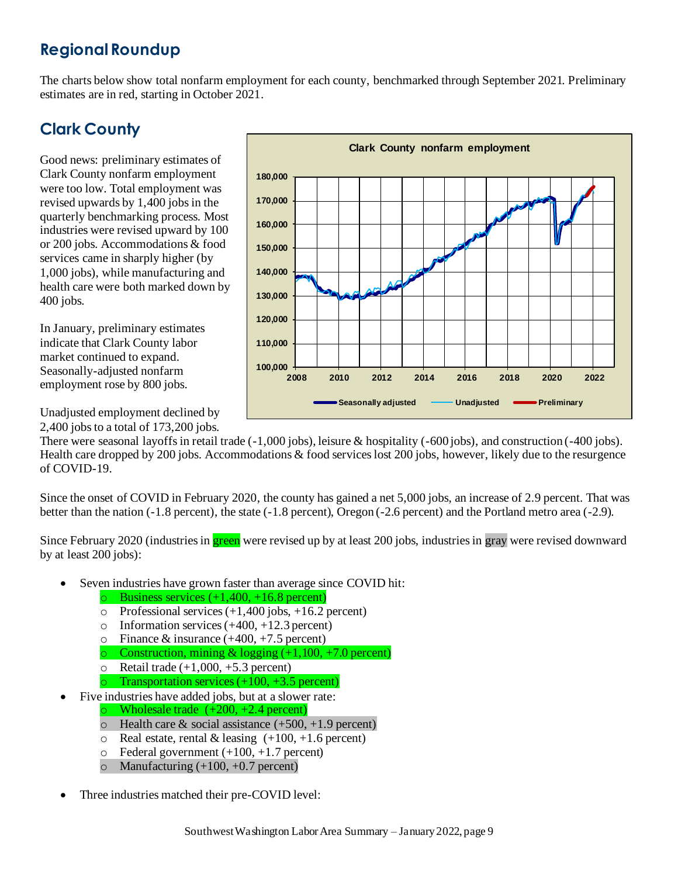## **Regional Roundup**

The charts below show total nonfarm employment for each county, benchmarked through September 2021. Preliminary estimates are in red, starting in October 2021.

# **Clark County**

Good news: preliminary estimates of Clark County nonfarm employment were too low. Total employment was revised upwards by 1,400 jobs in the quarterly benchmarking process. Most industries were revised upward by 100 or 200 jobs. Accommodations & food services came in sharply higher (by 1,000 jobs), while manufacturing and health care were both marked down by 400 jobs.

In January, preliminary estimates indicate that Clark County labor market continued to expand. Seasonally-adjusted nonfarm employment rose by 800 jobs.

Unadjusted employment declined by 2,400 jobsto a total of 173,200 jobs. **100,000 110,000 120,000 130,000 140,000 150,000 160,000 170,000 180,000 2008 2010 2012 2014 2016 2018 2020 2022 Clark County nonfarm employment Seasonally adjusted Wadjusted Preliminary** 

There were seasonal layoffs in retail trade (-1,000 jobs), leisure & hospitality (-600 jobs), and construction (-400 jobs). Health care dropped by 200 jobs. Accommodations & food services lost 200 jobs, however, likely due to the resurgence of COVID-19.

Since the onset of COVID in February 2020, the county has gained a net 5,000 jobs, an increase of 2.9 percent. That was better than the nation (-1.8 percent), the state (-1.8 percent), Oregon (-2.6 percent) and the Portland metro area (-2.9).

Since February 2020 (industries in **green** were revised up by at least 200 jobs, industries in gray were revised downward by at least 200 jobs):

- Seven industries have grown faster than average since COVID hit:
	- $\circ$  Business services (+1,400, +16.8 percent)
	- $\circ$  Professional services (+1,400 jobs, +16.2 percent)
	- $\circ$  Information services (+400, +12.3 percent)
	- o Finance & insurance  $(+400, +7.5)$  percent)
	- $\circ$  Construction, mining & logging (+1,100, +7.0 percent)
	- $\circ$  Retail trade (+1,000, +5.3 percent)
	- o Transportation services  $(+100, +3.5$  percent)
- Five industries have added jobs, but at a slower rate:
	- o Wholesale trade  $(+200, +2.4$  percent)
	- $\circ$  Health care & social assistance (+500, +1.9 percent)
	- $\circ$  Real estate, rental & leasing (+100, +1.6 percent)
	- $\circ$  Federal government  $(+100, +1.7$  percent)
	- $\circ$  Manufacturing (+100, +0.7 percent)
- Three industries matched their pre-COVID level: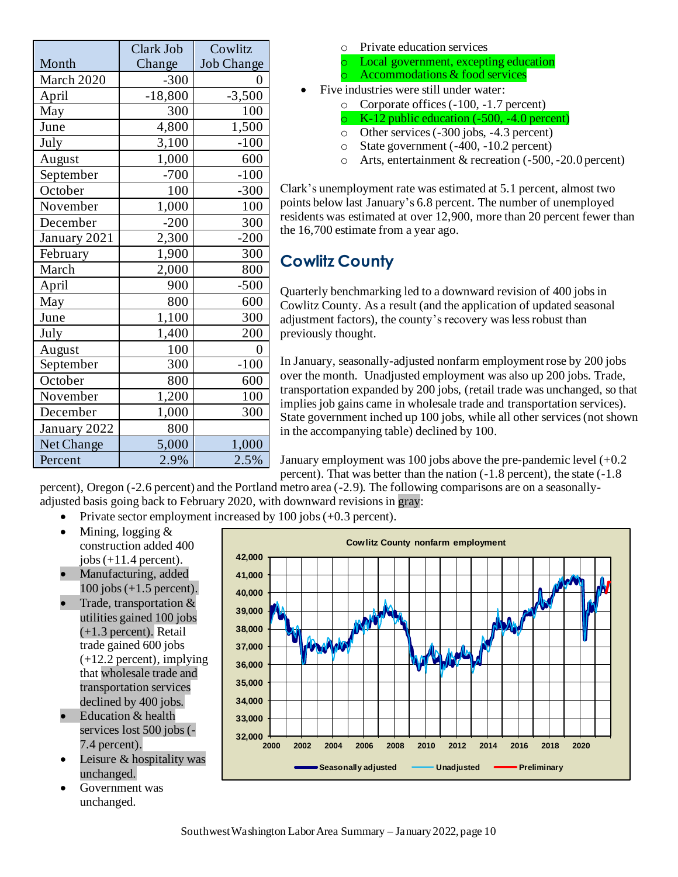|              | Clark Job | Cowlitz           |
|--------------|-----------|-------------------|
| Month        | Change    | <b>Job Change</b> |
| March 2020   | $-300$    | 0                 |
| April        | $-18,800$ | $-3,500$          |
| May          | 300       | 100               |
| June         | 4,800     | 1,500             |
| July         | 3,100     | $-100$            |
| August       | 1,000     | 600               |
| September    | $-700$    | $-100$            |
| October      | 100       | $-300$            |
| November     | 1,000     | 100               |
| December     | $-200$    | 300               |
| January 2021 | 2,300     | $-200$            |
| February     | 1,900     | 300               |
| March        | 2,000     | 800               |
| April        | 900       | $-500$            |
| May          | 800       | 600               |
| June         | 1,100     | 300               |
| July         | 1,400     | 200               |
| August       | 100       | 0                 |
| September    | 300       | $-100$            |
| October      | 800       | 600               |
| November     | 1,200     | 100               |
| December     | 1,000     | 300               |
| January 2022 | 800       |                   |
| Net Change   | 5,000     | 1,000             |
| Percent      | 2.9%      | 2.5%              |

- o Private education services
- o Local government, excepting education
- $\circ$  Accommodations & food services
- Five industries were still under water:
	- o Corporate offices (-100, -1.7 percent)
		- K-12 public education  $(-500, -4.0$  percent)
	- o Other services (-300 jobs, -4.3 percent)
	- o State government (-400, -10.2 percent)
	- o Arts, entertainment & recreation (-500, -20.0 percent)

Clark's unemployment rate was estimated at 5.1 percent, almost two points below last January's 6.8 percent. The number of unemployed residents was estimated at over 12,900, more than 20 percent fewer than the 16,700 estimate from a year ago.

# **Cowlitz County**

Quarterly benchmarking led to a downward revision of 400 jobs in Cowlitz County. As a result (and the application of updated seasonal adjustment factors), the county's recovery was less robust than previously thought.

In January, seasonally-adjusted nonfarm employment rose by 200 jobs over the month. Unadjusted employment was also up 200 jobs. Trade, transportation expanded by 200 jobs, (retail trade was unchanged, so that implies job gains came in wholesale trade and transportation services). State government inched up 100 jobs, while all other services (not shown in the accompanying table) declined by 100.

January employment was 100 jobs above the pre-pandemic level  $(+0.2)$ percent). That was better than the nation (-1.8 percent), the state (-1.8

percent), Oregon (-2.6 percent) and the Portland metro area (-2.9). The following comparisons are on a seasonallyadjusted basis going back to February 2020, with downward revisions in gray:

- Private sector employment increased by 100 jobs (+0.3 percent).
- Mining, logging & construction added 400 jobs  $(+11.4$  percent).
- Manufacturing, added 100 jobs (+1.5 percent).
- Trade, transportation  $&$ utilities gained 100 jobs (+1.3 percent). Retail trade gained 600 jobs (+12.2 percent), implying that wholesale trade and transportation services declined by 400 jobs.
- Education & health services lost 500 jobs (- 7.4 percent).
- Leisure & hospitality was unchanged.
- Government was unchanged.